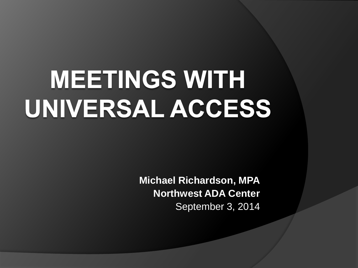# **MEETINGS WITH** UNIVERSAL ACCESS

**Michael Richardson, MPA Northwest ADA Center** September 3, 2014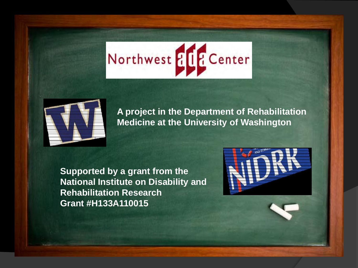Northwest HIH Center



**A project in the Department of Rehabilitation Medicine at the University of Washington**

**Supported by a grant from the National Institute on Disability and Rehabilitation Research Grant #H133A110015**

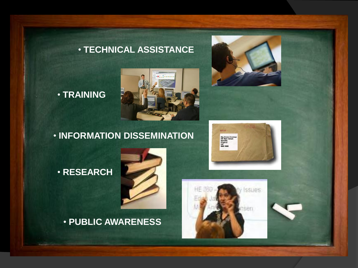

#### • **TECHNICAL ASSISTANCE**



• **TRAINING**

#### • **INFORMATION DISSEMINATION**





• **RESEARCH**

#### • **PUBLIC AWARENESS**

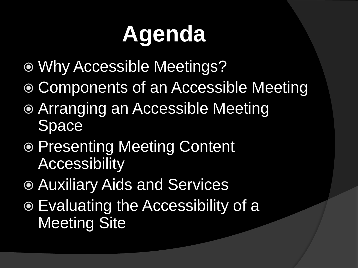# **Agenda**

- Why Accessible Meetings?
- $\odot$  Components of an Accessible Meeting
- Arranging an Accessible Meeting Space
- Presenting Meeting Content **Accessibility**
- Auxiliary Aids and Services
- Evaluating the Accessibility of a Meeting Site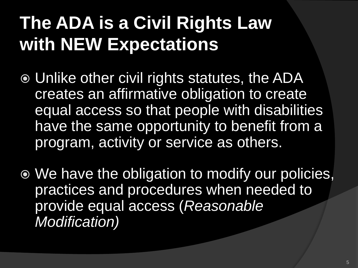#### **The ADA is a Civil Rights Law with NEW Expectations**

- Unlike other civil rights statutes, the ADA creates an affirmative obligation to create equal access so that people with disabilities have the same opportunity to benefit from a program, activity or service as others.
- We have the obligation to modify our policies, practices and procedures when needed to provide equal access (*Reasonable Modification)*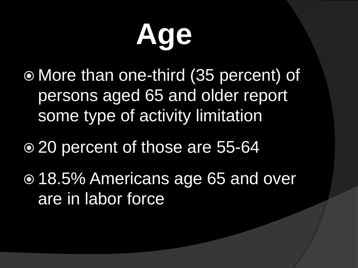# **Age**

- More than one-third (35 percent) of persons aged 65 and older report some type of activity limitation
- 20 percent of those are 55-64
- 18.5% Americans age 65 and over are in labor force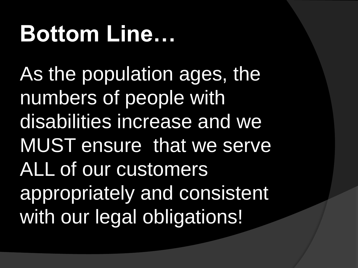### **Bottom Line…**

As the population ages, the numbers of people with disabilities increase and we MUST ensure that we serve ALL of our customers appropriately and consistent with our legal obligations!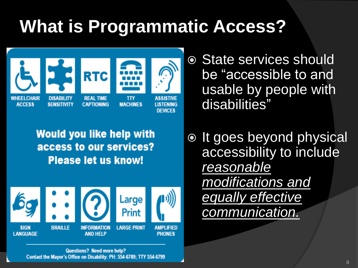#### **What is Programmatic Access?**

**DEVICES** 



**Would you like help with** access to our services? **Please let us know!** 



**Questions? Need more help?** Contact the Mayor's Office on Disability: PH: 554-6789; TTY 554-6799 ● State services should be "accessible to and usable by people with disabilities"

 $\odot$  It goes beyond physical accessibility to include *reasonable modifications and equally effective communication.*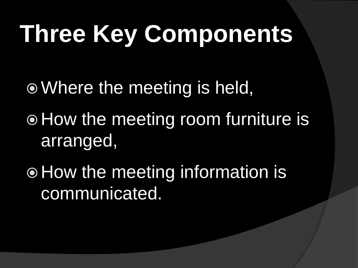# **Three Key Components**

- Where the meeting is held,
- $\odot$  How the meeting room furniture is arranged,
- $\bullet$  How the meeting information is communicated.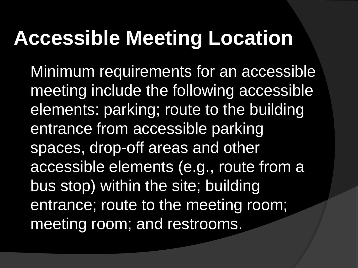#### **Accessible Meeting Location**

Minimum requirements for an accessible meeting include the following accessible elements: parking; route to the building entrance from accessible parking spaces, drop-off areas and other accessible elements (e.g., route from a bus stop) within the site; building entrance; route to the meeting room; meeting room; and restrooms.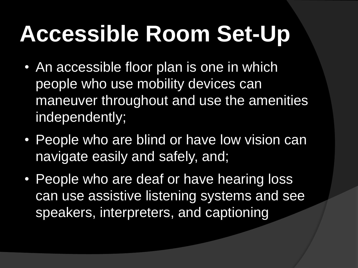# **Accessible Room Set-Up**

- An accessible floor plan is one in which people who use mobility devices can maneuver throughout and use the amenities independently;
- People who are blind or have low vision can navigate easily and safely, and;
- People who are deaf or have hearing loss can use assistive listening systems and see speakers, interpreters, and captioning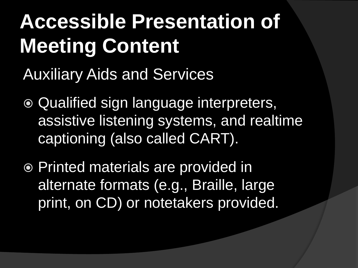### **Accessible Presentation of Meeting Content**

Auxiliary Aids and Services

- $\odot$  Qualified sign language interpreters, assistive listening systems, and realtime captioning (also called CART).
- Printed materials are provided in alternate formats (e.g., Braille, large print, on CD) or notetakers provided.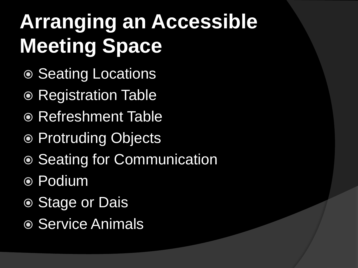### **Arranging an Accessible Meeting Space**

- $\overline{\bullet}$  Seating Locations
- Registration Table
- Refreshment Table
- Protruding Objects
- Seating for Communication
- Podium
- **Stage or Dais**
- **Service Animals**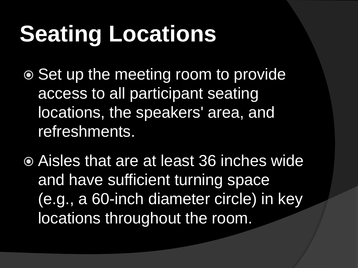# **Seating Locations**

- **■** Set up the meeting room to provide access to all participant seating locations, the speakers' area, and refreshments.
- Aisles that are at least 36 inches wide and have sufficient turning space (e.g., a 60-inch diameter circle) in key locations throughout the room.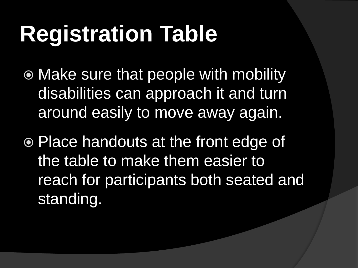# **Registration Table**

- Make sure that people with mobility disabilities can approach it and turn around easily to move away again.
- Place handouts at the front edge of the table to make them easier to reach for participants both seated and standing.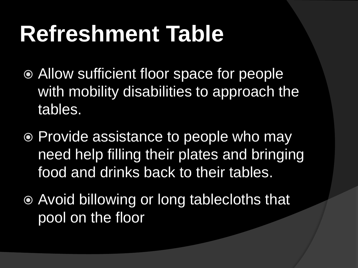# **Refreshment Table**

- Allow sufficient floor space for people with mobility disabilities to approach the tables.
- Provide assistance to people who may need help filling their plates and bringing food and drinks back to their tables.
- Avoid billowing or long tablecloths that pool on the floor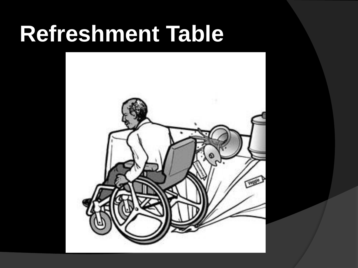### **Refreshment Table**

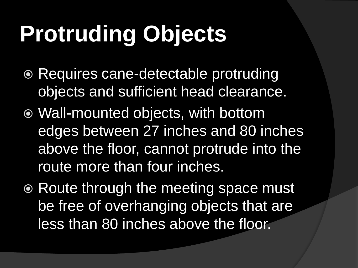# **Protruding Objects**

- **Requires cane-detectable protruding** objects and sufficient head clearance.
- Wall-mounted objects, with bottom edges between 27 inches and 80 inches above the floor, cannot protrude into the route more than four inches.
- Route through the meeting space must be free of overhanging objects that are less than 80 inches above the floor.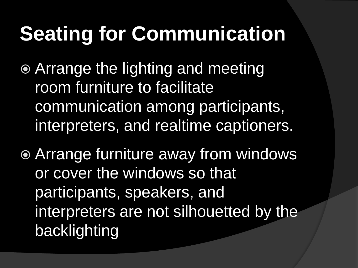#### **Seating for Communication**

 Arrange the lighting and meeting room furniture to facilitate communication among participants, interpreters, and realtime captioners.

 Arrange furniture away from windows or cover the windows so that participants, speakers, and interpreters are not silhouetted by the backlighting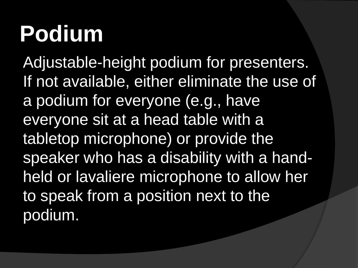## **Podium**

Adjustable-height podium for presenters. If not available, either eliminate the use of a podium for everyone (e.g., have everyone sit at a head table with a tabletop microphone) or provide the speaker who has a disability with a handheld or lavaliere microphone to allow her to speak from a position next to the podium.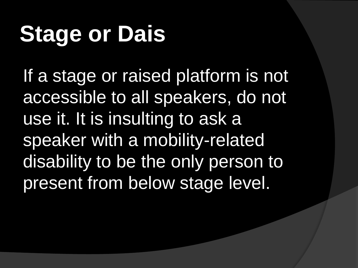# **Stage or Dais**

If a stage or raised platform is not accessible to all speakers, do not use it. It is insulting to ask a speaker with a mobility-related disability to be the only person to present from below stage level.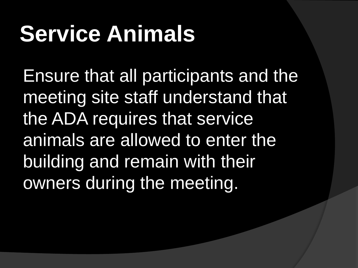## **Service Animals**

Ensure that all participants and the meeting site staff understand that the ADA requires that service animals are allowed to enter the building and remain with their owners during the meeting.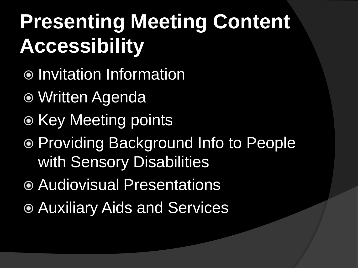### **Presenting Meeting Content Accessibility**

- $\odot$  Invitation Information
- Written Agenda
- **Example 18 Key Meeting points**
- **Providing Background Info to People** with Sensory Disabilities
- Audiovisual Presentations
- Auxiliary Aids and Services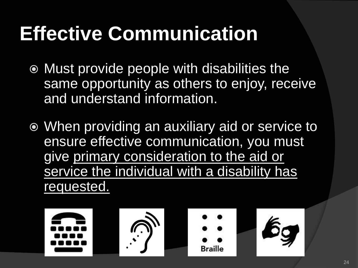#### **Effective Communication**

- Must provide people with disabilities the same opportunity as others to enjoy, receive and understand information.
- When providing an auxiliary aid or service to ensure effective communication, you must give primary consideration to the aid or service the individual with a disability has requested.

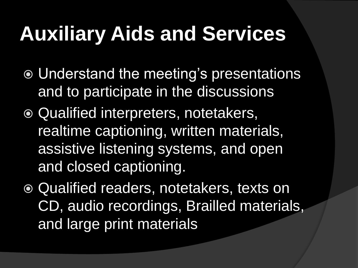#### **Auxiliary Aids and Services**

- Understand the meeting's presentations and to participate in the discussions
- Qualified interpreters, notetakers, realtime captioning, written materials, assistive listening systems, and open and closed captioning.
- Qualified readers, notetakers, texts on CD, audio recordings, Brailled materials, and large print materials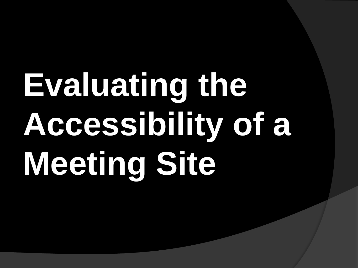# **Evaluating the Accessibility of a Meeting Site**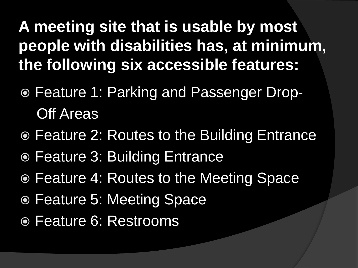**A meeting site that is usable by most people with disabilities has, at minimum, the following six accessible features:**

- Feature 1: Parking and Passenger Drop- Off Areas
- Feature 2: Routes to the Building Entrance
- Feature 3: Building Entrance
- Feature 4: Routes to the Meeting Space
- Feature 5: Meeting Space
- Feature 6: Restrooms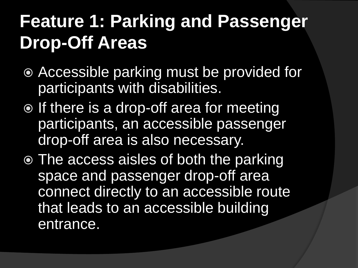#### **Feature 1: Parking and Passenger Drop-Off Areas**

- Accessible parking must be provided for participants with disabilities.
- o If there is a drop-off area for meeting participants, an accessible passenger drop-off area is also necessary.
- The access aisles of both the parking space and passenger drop-off area connect directly to an accessible route that leads to an accessible building entrance.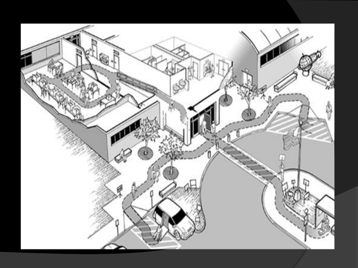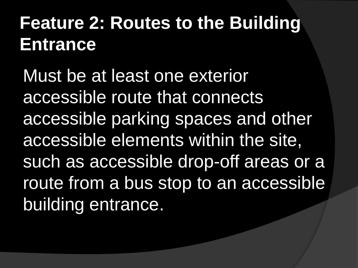#### **Feature 2: Routes to the Building Entrance**

Must be at least one exterior accessible route that connects accessible parking spaces and other accessible elements within the site, such as accessible drop-off areas or a route from a bus stop to an accessible building entrance.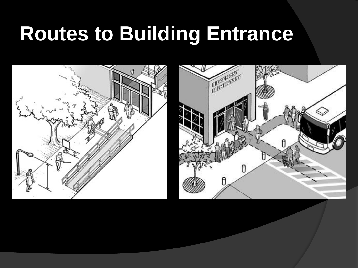#### **Routes to Building Entrance**



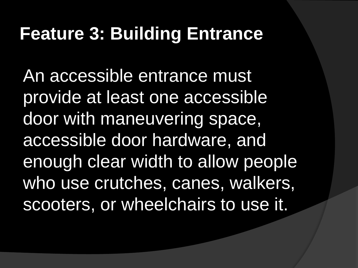#### **Feature 3: Building Entrance**

An accessible entrance must provide at least one accessible door with maneuvering space, accessible door hardware, and enough clear width to allow people who use crutches, canes, walkers, scooters, or wheelchairs to use it.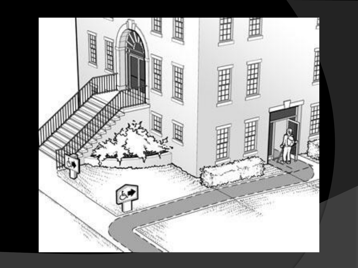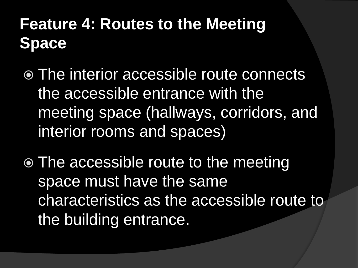#### **Feature 4: Routes to the Meeting Space**

- The interior accessible route connects the accessible entrance with the meeting space (hallways, corridors, and interior rooms and spaces)
- **■** The accessible route to the meeting space must have the same characteristics as the accessible route to the building entrance.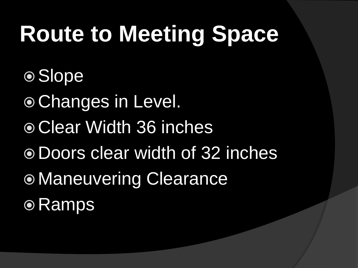# **Route to Meeting Space**

 Slope Changes in Level. Clear Width 36 inches Doors clear width of 32 inches Maneuvering Clearance **O**Ramps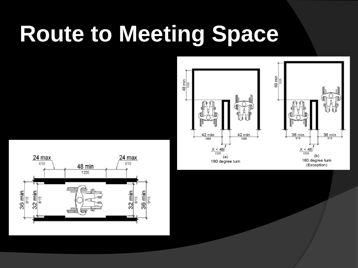# **Route to Meeting Space**



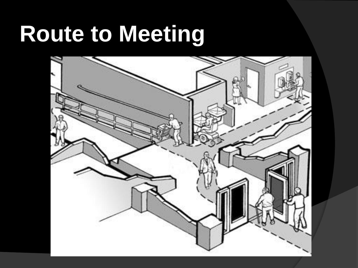## **Route to Meeting**

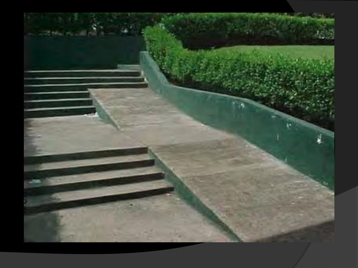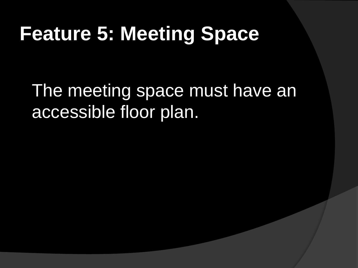#### **Feature 5: Meeting Space**

The meeting space must have an accessible floor plan.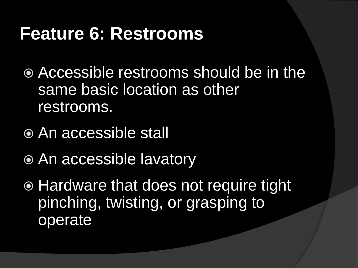#### **Feature 6: Restrooms**

 Accessible restrooms should be in the same basic location as other restrooms.

- An accessible stall
- An accessible lavatory
- Hardware that does not require tight pinching, twisting, or grasping to operate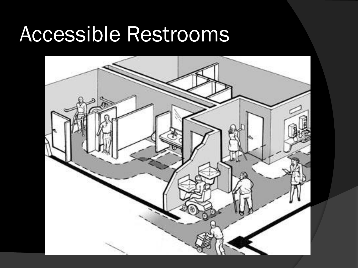#### Accessible Restrooms

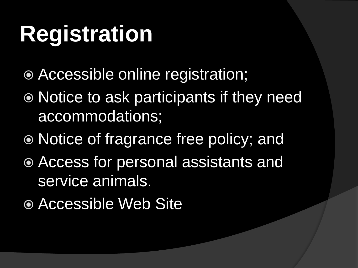# **Registration**

- Accessible online registration;
- Notice to ask participants if they need accommodations;
- Notice of fragrance free policy; and
- Access for personal assistants and service animals.
- Accessible Web Site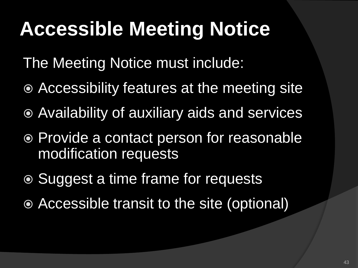#### **Accessible Meeting Notice**

The Meeting Notice must include:

- Accessibility features at the meeting site
- Availability of auxiliary aids and services
- **Provide a contact person for reasonable** modification requests
- Suggest a time frame for requests
- Accessible transit to the site (optional)